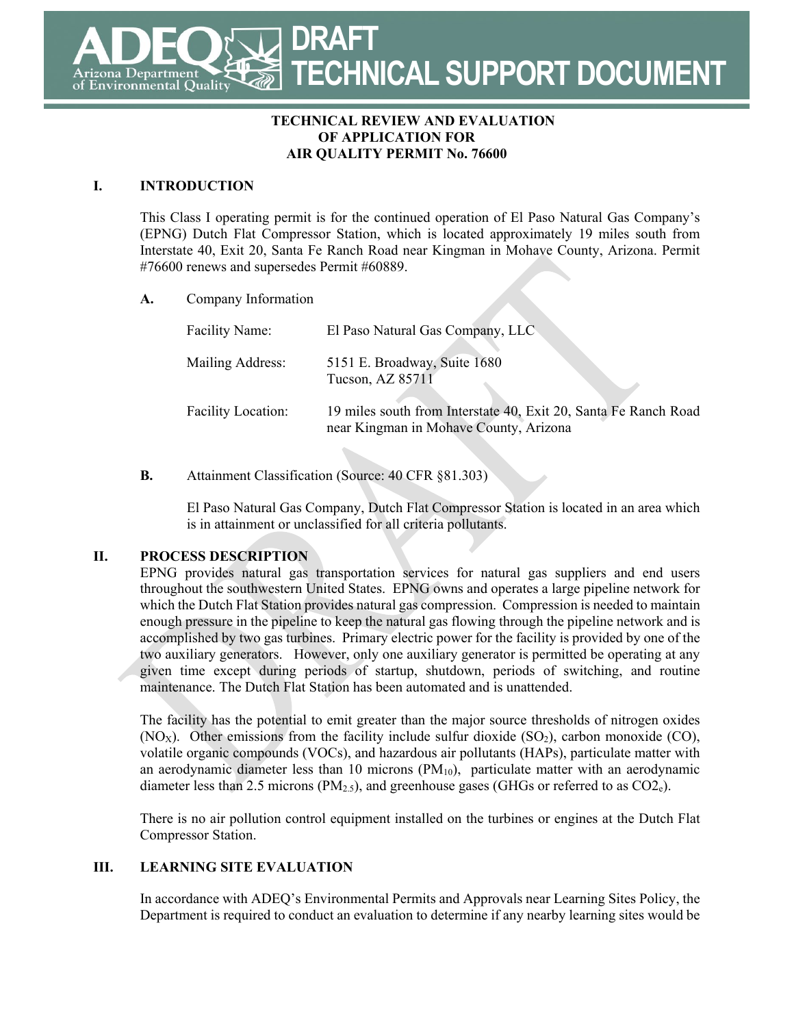**DRAFT TECHNICAL SUPPORT DOCUMENT** Department **Environmental Quality** 

### **TECHNICAL REVIEW AND EVALUATION OF APPLICATION FOR AIR QUALITY PERMIT No. 76600**

## **I. INTRODUCTION**

This Class I operating permit is for the continued operation of El Paso Natural Gas Company's (EPNG) Dutch Flat Compressor Station, which is located approximately 19 miles south from Interstate 40, Exit 20, Santa Fe Ranch Road near Kingman in Mohave County, Arizona. Permit #76600 renews and supersedes Permit #60889.

#### **A.** Company Information

| <b>Facility Name:</b>     | El Paso Natural Gas Company, LLC                                                                          |
|---------------------------|-----------------------------------------------------------------------------------------------------------|
| Mailing Address:          | 5151 E. Broadway, Suite 1680<br>Tucson, AZ 85711                                                          |
| <b>Facility Location:</b> | 19 miles south from Interstate 40, Exit 20, Santa Fe Ranch Road<br>near Kingman in Mohave County, Arizona |

## **B.** Attainment Classification (Source: 40 CFR §81.303)

El Paso Natural Gas Company, Dutch Flat Compressor Station is located in an area which is in attainment or unclassified for all criteria pollutants.

## **II. PROCESS DESCRIPTION**

EPNG provides natural gas transportation services for natural gas suppliers and end users throughout the southwestern United States. EPNG owns and operates a large pipeline network for which the Dutch Flat Station provides natural gas compression. Compression is needed to maintain enough pressure in the pipeline to keep the natural gas flowing through the pipeline network and is accomplished by two gas turbines. Primary electric power for the facility is provided by one of the two auxiliary generators. However, only one auxiliary generator is permitted be operating at any given time except during periods of startup, shutdown, periods of switching, and routine maintenance. The Dutch Flat Station has been automated and is unattended.

The facility has the potential to emit greater than the major source thresholds of nitrogen oxides  $(NO<sub>X</sub>)$ . Other emissions from the facility include sulfur dioxide  $(SO<sub>2</sub>)$ , carbon monoxide  $(CO)$ , volatile organic compounds (VOCs), and hazardous air pollutants (HAPs), particulate matter with an aerodynamic diameter less than 10 microns  $(PM_{10})$ , particulate matter with an aerodynamic diameter less than 2.5 microns  $(PM_{2.5})$ , and greenhouse gases (GHGs or referred to as  $CO2<sub>e</sub>$ ).

There is no air pollution control equipment installed on the turbines or engines at the Dutch Flat Compressor Station.

## **III. LEARNING SITE EVALUATION**

In accordance with ADEQ's Environmental Permits and Approvals near Learning Sites Policy, the Department is required to conduct an evaluation to determine if any nearby learning sites would be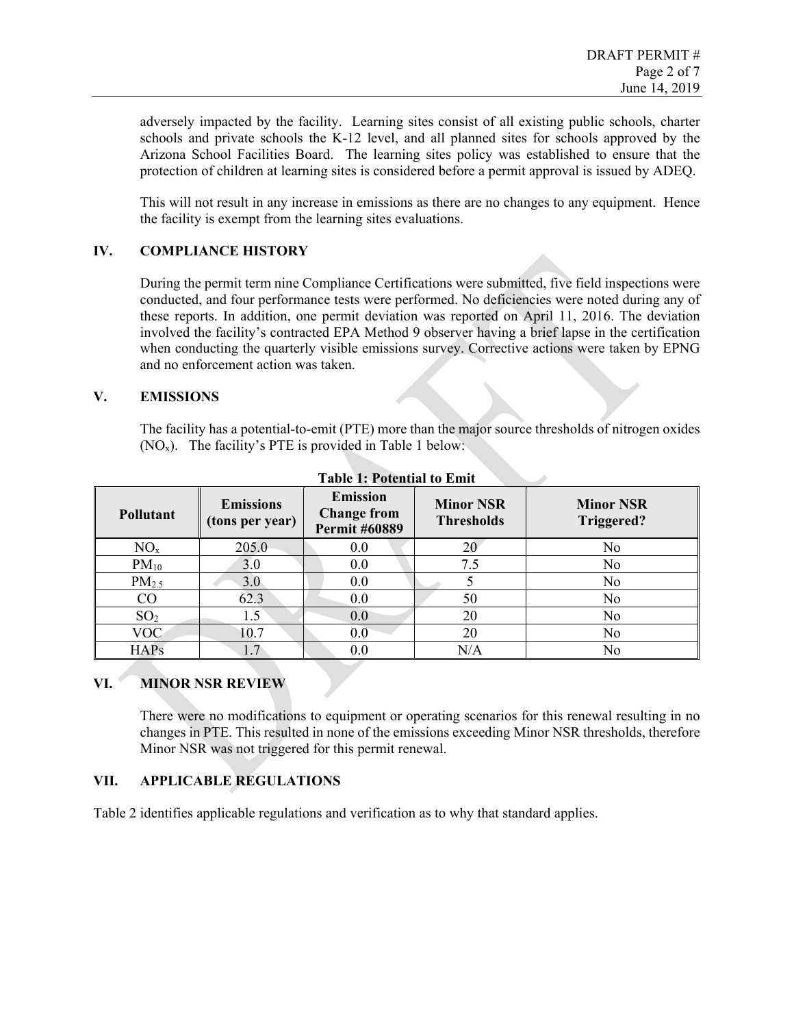adversely impacted by the facility. Learning sites consist of all existing public schools, charter schools and private schools the K-12 level, and all planned sites for schools approved by the Arizona School Facilities Board. The learning sites policy was established to ensure that the protection of children at learning sites is considered before a permit approval is issued by ADEQ.

This will not result in any increase in emissions as there are no changes to any equipment. Hence the facility is exempt from the learning sites evaluations.

#### **IV. COMPLIANCE HISTORY**

During the permit term nine Compliance Certifications were submitted, five field inspections were conducted, and four performance tests were performed. No deficiencies were noted during any of these reports. In addition, one permit deviation was reported on April 11, 2016. The deviation involved the facility's contracted EPA Method 9 observer having a brief lapse in the certification when conducting the quarterly visible emissions survey. Corrective actions were taken by EPNG and no enforcement action was taken.

#### **V. EMISSIONS**

The facility has a potential-to-emit (PTE) more than the major source thresholds of nitrogen oxides  $(NO<sub>x</sub>)$ . The facility's PTE is provided in Table 1 below:

| <b>Pollutant</b>  | <b>Emissions</b><br>(tons per year) | <b>Emission</b><br><b>Change from</b><br><b>Permit #60889</b> | <b>Minor NSR</b><br><b>Thresholds</b> | <b>Minor NSR</b><br>Triggered? |
|-------------------|-------------------------------------|---------------------------------------------------------------|---------------------------------------|--------------------------------|
| $NO_{x}$          | 205.0                               | 0.0                                                           | 20                                    | No                             |
| $PM_{10}$         | 3.0                                 | 0.0                                                           | 7.5                                   | No                             |
| PM <sub>2.5</sub> | 3.0                                 | 0.0                                                           |                                       | No                             |
| CO                | 62.3                                | 0.0                                                           | 50                                    | No                             |
| SO <sub>2</sub>   | 1.5                                 | 0.0                                                           | 20                                    | No                             |
| <b>VOC</b>        | 10.7                                | 0.0                                                           | 20                                    | No                             |
| <b>HAPs</b>       | 1.7                                 | 0.0                                                           | N/A                                   | No                             |

**Table 1: Potential to Emit**

## **VI. MINOR NSR REVIEW**

There were no modifications to equipment or operating scenarios for this renewal resulting in no changes in PTE. This resulted in none of the emissions exceeding Minor NSR thresholds, therefore Minor NSR was not triggered for this permit renewal.

## **VII. APPLICABLE REGULATIONS**

Table 2 identifies applicable regulations and verification as to why that standard applies.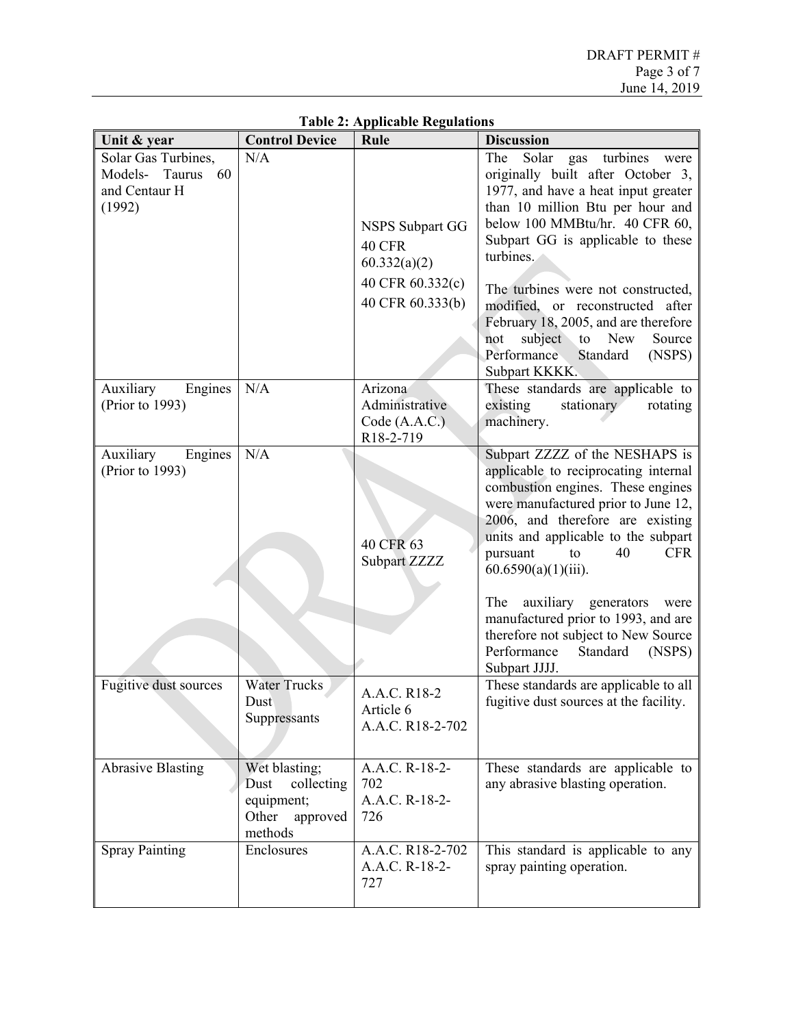| Unit & year                                                            | <b>Control Device</b>                                                             | Rule                                                                                     | <b>Discussion</b>                                                                                                                                                                                                                                                                                                                                                                                                                                                        |
|------------------------------------------------------------------------|-----------------------------------------------------------------------------------|------------------------------------------------------------------------------------------|--------------------------------------------------------------------------------------------------------------------------------------------------------------------------------------------------------------------------------------------------------------------------------------------------------------------------------------------------------------------------------------------------------------------------------------------------------------------------|
| Solar Gas Turbines,<br>Models- Taurus<br>60<br>and Centaur H<br>(1992) | N/A                                                                               | <b>NSPS Subpart GG</b><br>40 CFR<br>60.332(a)(2)<br>40 CFR 60.332(c)<br>40 CFR 60.333(b) | Solar<br>The<br>turbines<br>gas<br>were<br>originally built after October 3,<br>1977, and have a heat input greater<br>than 10 million Btu per hour and<br>below 100 MMBtu/hr. 40 CFR 60,<br>Subpart GG is applicable to these<br>turbines.<br>The turbines were not constructed,<br>modified, or reconstructed after<br>February 18, 2005, and are therefore<br>subject to New<br>Source<br>not<br>Performance<br>Standard<br>(NSPS)<br>Subpart KKKK.                   |
| Auxiliary<br>Engines<br>(Prior to 1993)                                | N/A                                                                               | Arizona<br>Administrative<br>Code (A.A.C.)<br>R18-2-719                                  | These standards are applicable to<br>stationary<br>existing<br>rotating<br>machinery.                                                                                                                                                                                                                                                                                                                                                                                    |
| Auxiliary<br>Engines<br>(Prior to 1993)                                | N/A                                                                               | 40 CFR 63<br>Subpart ZZZZ                                                                | Subpart ZZZZ of the NESHAPS is<br>applicable to reciprocating internal<br>combustion engines. These engines<br>were manufactured prior to June 12,<br>2006, and therefore are existing<br>units and applicable to the subpart<br>pursuant<br>40<br><b>CFR</b><br>to<br>$60.6590(a)(1)(iii)$ .<br>The<br>auxiliary generators<br>were<br>manufactured prior to 1993, and are<br>therefore not subject to New Source<br>Performance<br>Standard<br>(NSPS)<br>Subpart JJJJ. |
| <b>Fugitive dust sources</b>                                           | <b>Water Trucks</b><br>Dust<br>Suppressants                                       | A.A.C. R18-2<br>Article 6<br>A.A.C. R18-2-702                                            | These standards are applicable to all<br>fugitive dust sources at the facility.                                                                                                                                                                                                                                                                                                                                                                                          |
| <b>Abrasive Blasting</b>                                               | Wet blasting;<br>Dust<br>collecting<br>equipment;<br>approved<br>Other<br>methods | A.A.C. R-18-2-<br>702<br>A.A.C. R-18-2-<br>726                                           | These standards are applicable to<br>any abrasive blasting operation.                                                                                                                                                                                                                                                                                                                                                                                                    |
| <b>Spray Painting</b>                                                  | Enclosures                                                                        | A.A.C. R18-2-702<br>A.A.C. R-18-2-<br>727                                                | This standard is applicable to any<br>spray painting operation.                                                                                                                                                                                                                                                                                                                                                                                                          |

**Table 2: Applicable Regulations**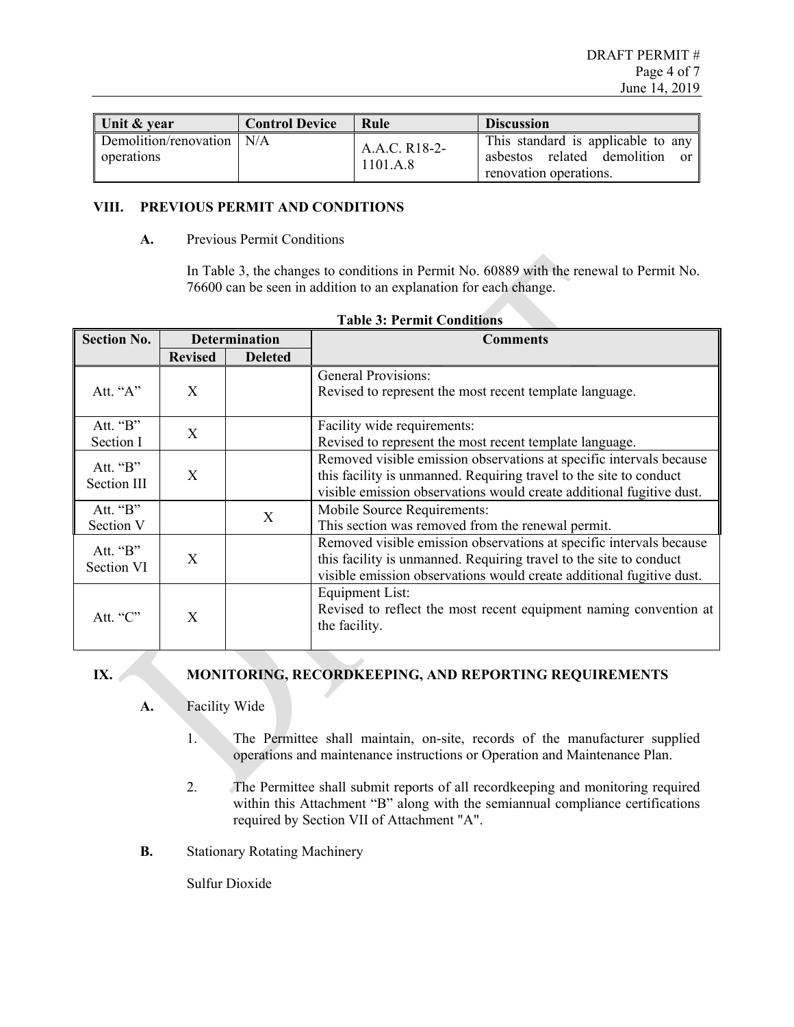| Unit & year                               | <b>Control Device</b> | Rule                      | <b>Discussion</b>                                                                           |
|-------------------------------------------|-----------------------|---------------------------|---------------------------------------------------------------------------------------------|
| Demolition/renovation   N/A<br>operations |                       | A.A.C. R18-2-<br>1101.A.8 | This standard is applicable to any<br>asbestos related demolition<br>renovation operations. |

## **VIII. PREVIOUS PERMIT AND CONDITIONS**

#### **A.** Previous Permit Conditions

In Table 3, the changes to conditions in Permit No. 60889 with the renewal to Permit No. 76600 can be seen in addition to an explanation for each change.

| <b>Section No.</b>               | <b>Determination</b> |                | <b>Comments</b>                                                                                                                                                                                                   |
|----------------------------------|----------------------|----------------|-------------------------------------------------------------------------------------------------------------------------------------------------------------------------------------------------------------------|
|                                  | <b>Revised</b>       | <b>Deleted</b> |                                                                                                                                                                                                                   |
| Att. "A"                         | X                    |                | <b>General Provisions:</b><br>Revised to represent the most recent template language.                                                                                                                             |
| Att. $\mathbf{B}$ "<br>Section I | X                    |                | Facility wide requirements:<br>Revised to represent the most recent template language.                                                                                                                            |
| Att. "B"<br>Section III          | X                    |                | Removed visible emission observations at specific intervals because<br>this facility is unmanned. Requiring travel to the site to conduct<br>visible emission observations would create additional fugitive dust. |
| Att. "B"<br>Section V            |                      | X              | Mobile Source Requirements:<br>This section was removed from the renewal permit.                                                                                                                                  |
| Att. "B"<br>Section VI           | X                    |                | Removed visible emission observations at specific intervals because<br>this facility is unmanned. Requiring travel to the site to conduct<br>visible emission observations would create additional fugitive dust. |
| Att. $C$ .                       | X                    |                | Equipment List:<br>Revised to reflect the most recent equipment naming convention at<br>the facility.                                                                                                             |

#### **IX. MONITORING, RECORDKEEPING, AND REPORTING REQUIREMENTS**

- **A.** Facility Wide
	- 1. The Permittee shall maintain, on-site, records of the manufacturer supplied operations and maintenance instructions or Operation and Maintenance Plan.
	- 2. The Permittee shall submit reports of all recordkeeping and monitoring required within this Attachment "B" along with the semiannual compliance certifications required by Section VII of Attachment "A".
- **B.** Stationary Rotating Machinery

Sulfur Dioxide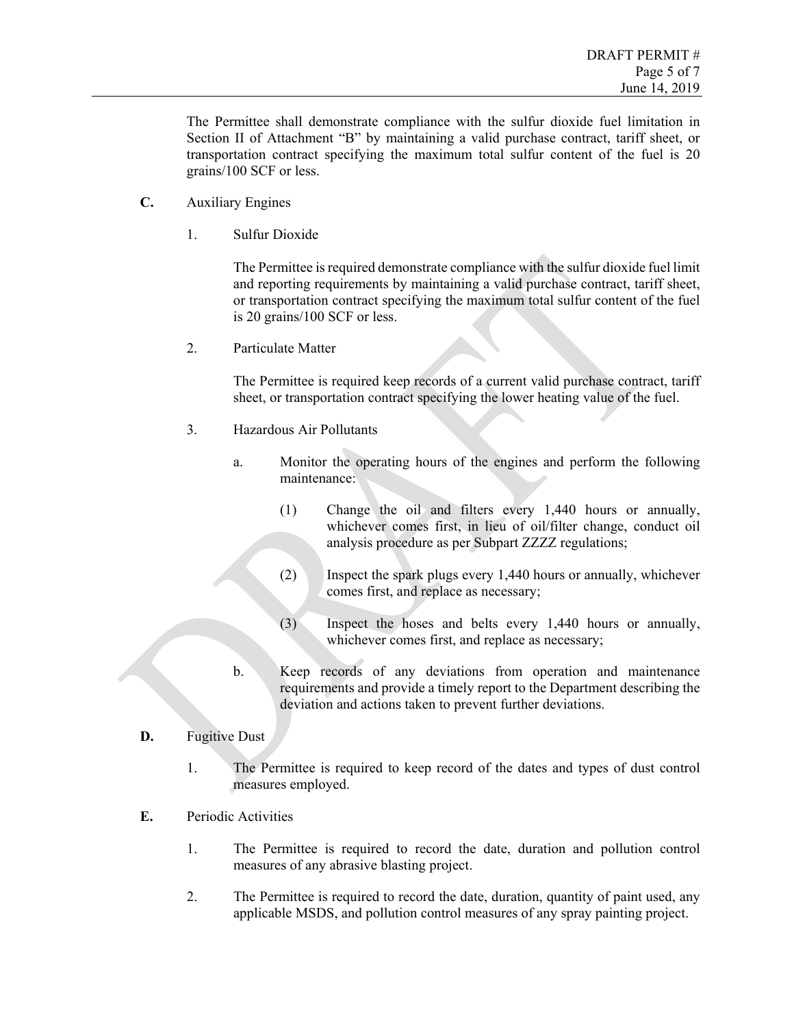The Permittee shall demonstrate compliance with the sulfur dioxide fuel limitation in Section II of Attachment "B" by maintaining a valid purchase contract, tariff sheet, or transportation contract specifying the maximum total sulfur content of the fuel is 20 grains/100 SCF or less.

- **C.** Auxiliary Engines
	- 1. Sulfur Dioxide

The Permittee is required demonstrate compliance with the sulfur dioxide fuel limit and reporting requirements by maintaining a valid purchase contract, tariff sheet, or transportation contract specifying the maximum total sulfur content of the fuel is 20 grains/100 SCF or less.

2. Particulate Matter

The Permittee is required keep records of a current valid purchase contract, tariff sheet, or transportation contract specifying the lower heating value of the fuel.

- 3. Hazardous Air Pollutants
	- a. Monitor the operating hours of the engines and perform the following maintenance:
		- (1) Change the oil and filters every 1,440 hours or annually, whichever comes first, in lieu of oil/filter change, conduct oil analysis procedure as per Subpart ZZZZ regulations;
		- (2) Inspect the spark plugs every 1,440 hours or annually, whichever comes first, and replace as necessary;
		- (3) Inspect the hoses and belts every 1,440 hours or annually, whichever comes first, and replace as necessary;
	- b. Keep records of any deviations from operation and maintenance requirements and provide a timely report to the Department describing the deviation and actions taken to prevent further deviations.
- **D.** Fugitive Dust
	- 1. The Permittee is required to keep record of the dates and types of dust control measures employed.
- **E.** Periodic Activities
	- 1. The Permittee is required to record the date, duration and pollution control measures of any abrasive blasting project.
	- 2. The Permittee is required to record the date, duration, quantity of paint used, any applicable MSDS, and pollution control measures of any spray painting project.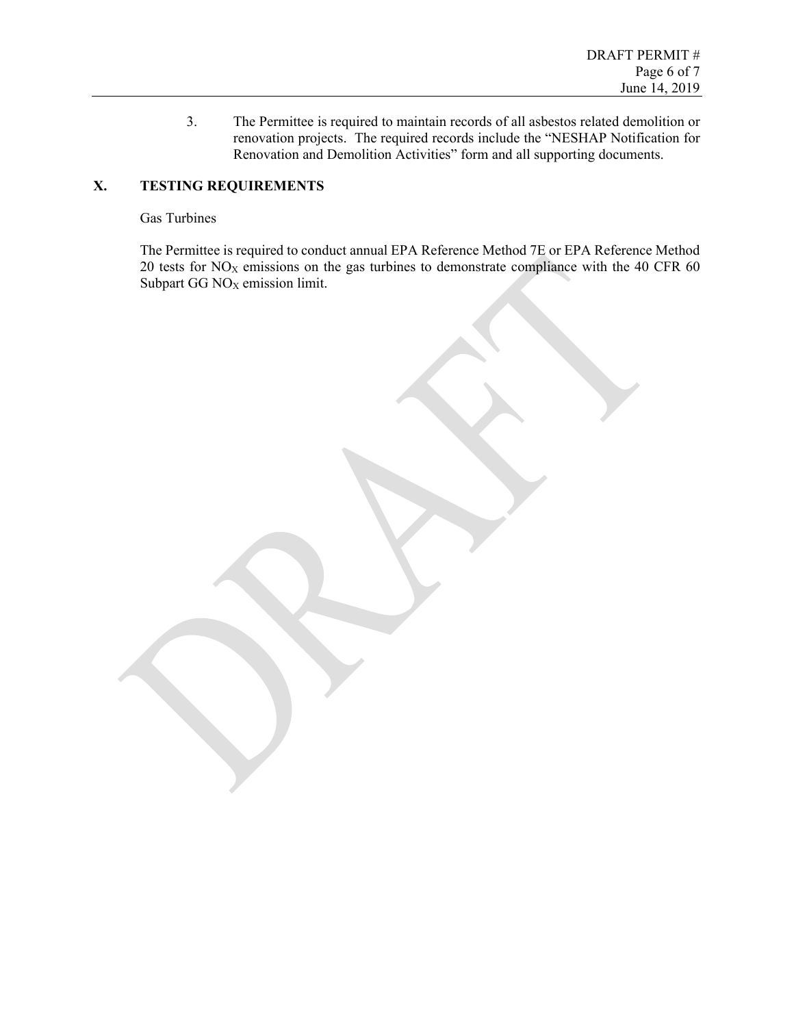3. The Permittee is required to maintain records of all asbestos related demolition or renovation projects. The required records include the "NESHAP Notification for Renovation and Demolition Activities" form and all supporting documents.

# **X. TESTING REQUIREMENTS**

#### Gas Turbines

The Permittee is required to conduct annual EPA Reference Method 7E or EPA Reference Method 20 tests for  $NO<sub>X</sub>$  emissions on the gas turbines to demonstrate compliance with the 40 CFR 60 Subpart GG NO<sub>X</sub> emission limit.